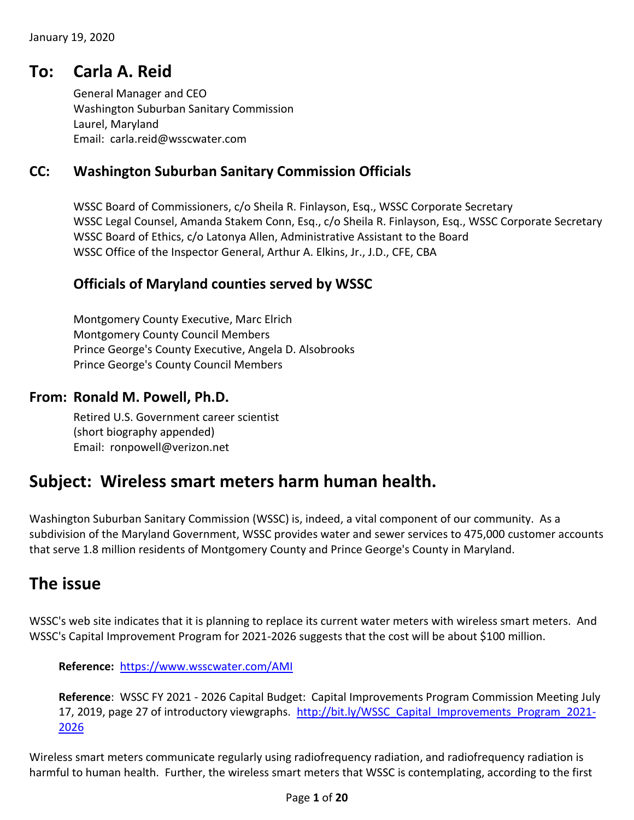### **To: Carla A. Reid**

General Manager and CEO Washington Suburban Sanitary Commission Laurel, Maryland Email: carla.reid@wsscwater.com

### **CC: Washington Suburban Sanitary Commission Officials**

WSSC Board of Commissioners, c/o Sheila R. Finlayson, Esq., WSSC Corporate Secretary WSSC Legal Counsel, Amanda Stakem Conn, Esq., c/o Sheila R. Finlayson, Esq., WSSC Corporate Secretary WSSC Board of Ethics, c/o Latonya Allen, Administrative Assistant to the Board WSSC Office of the Inspector General, Arthur A. Elkins, Jr., J.D., CFE, CBA

#### **Officials of Maryland counties served by WSSC**

Montgomery County Executive, Marc Elrich Montgomery County Council Members Prince George's County Executive, Angela D. Alsobrooks Prince George's County Council Members

#### **From: Ronald M. Powell, Ph.D.**

Retired U.S. Government career scientist (short biography appended) Email: ronpowell@verizon.net

# **Subject: Wireless smart meters harm human health.**

Washington Suburban Sanitary Commission (WSSC) is, indeed, a vital component of our community. As a subdivision of the Maryland Government, WSSC provides water and sewer services to 475,000 customer accounts that serve 1.8 million residents of Montgomery County and Prince George's County in Maryland.

### **The issue**

WSSC's web site indicates that it is planning to replace its current water meters with wireless smart meters. And WSSC's Capital Improvement Program for 2021-2026 suggests that the cost will be about \$100 million.

**Reference:** <https://www.wsscwater.com/AMI>

**Reference**: WSSC FY 2021 - 2026 Capital Budget: Capital Improvements Program Commission Meeting July 17, 2019, page 27 of introductory viewgraphs. [http://bit.ly/WSSC\\_Capital\\_Improvements\\_Program\\_2021-](http://bit.ly/WSSC_Capital_Improvements_Program_2021-2026) [2026](http://bit.ly/WSSC_Capital_Improvements_Program_2021-2026)

Wireless smart meters communicate regularly using radiofrequency radiation, and radiofrequency radiation is harmful to human health. Further, the wireless smart meters that WSSC is contemplating, according to the first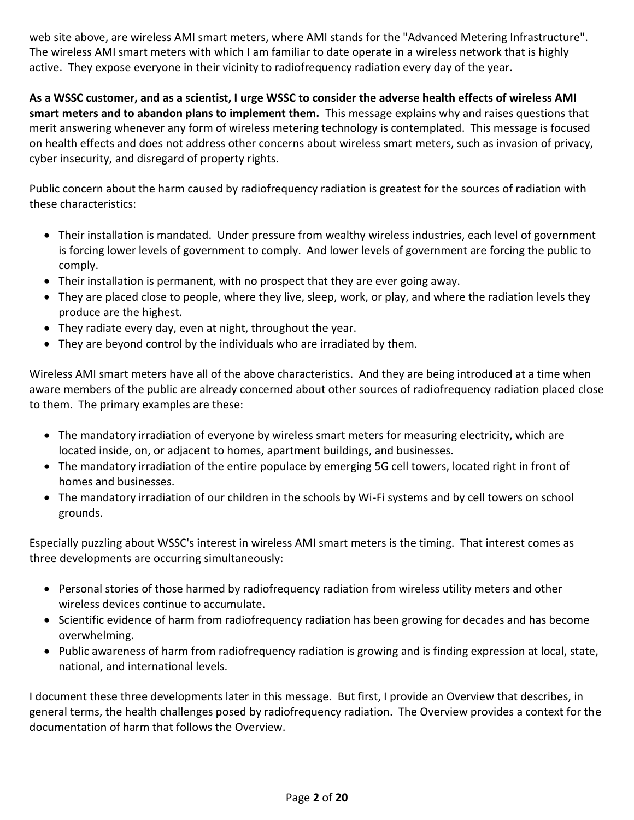web site above, are wireless AMI smart meters, where AMI stands for the "Advanced Metering Infrastructure". The wireless AMI smart meters with which I am familiar to date operate in a wireless network that is highly active. They expose everyone in their vicinity to radiofrequency radiation every day of the year.

**As a WSSC customer, and as a scientist, I urge WSSC to consider the adverse health effects of wireless AMI smart meters and to abandon plans to implement them.** This message explains why and raises questions that merit answering whenever any form of wireless metering technology is contemplated. This message is focused on health effects and does not address other concerns about wireless smart meters, such as invasion of privacy, cyber insecurity, and disregard of property rights.

Public concern about the harm caused by radiofrequency radiation is greatest for the sources of radiation with these characteristics:

- Their installation is mandated. Under pressure from wealthy wireless industries, each level of government is forcing lower levels of government to comply. And lower levels of government are forcing the public to comply.
- Their installation is permanent, with no prospect that they are ever going away.
- They are placed close to people, where they live, sleep, work, or play, and where the radiation levels they produce are the highest.
- They radiate every day, even at night, throughout the year.
- They are beyond control by the individuals who are irradiated by them.

Wireless AMI smart meters have all of the above characteristics. And they are being introduced at a time when aware members of the public are already concerned about other sources of radiofrequency radiation placed close to them. The primary examples are these:

- The mandatory irradiation of everyone by wireless smart meters for measuring electricity, which are located inside, on, or adjacent to homes, apartment buildings, and businesses.
- The mandatory irradiation of the entire populace by emerging 5G cell towers, located right in front of homes and businesses.
- The mandatory irradiation of our children in the schools by Wi-Fi systems and by cell towers on school grounds.

Especially puzzling about WSSC's interest in wireless AMI smart meters is the timing. That interest comes as three developments are occurring simultaneously:

- Personal stories of those harmed by radiofrequency radiation from wireless utility meters and other wireless devices continue to accumulate.
- Scientific evidence of harm from radiofrequency radiation has been growing for decades and has become overwhelming.
- Public awareness of harm from radiofrequency radiation is growing and is finding expression at local, state, national, and international levels.

I document these three developments later in this message. But first, I provide an Overview that describes, in general terms, the health challenges posed by radiofrequency radiation. The Overview provides a context for the documentation of harm that follows the Overview.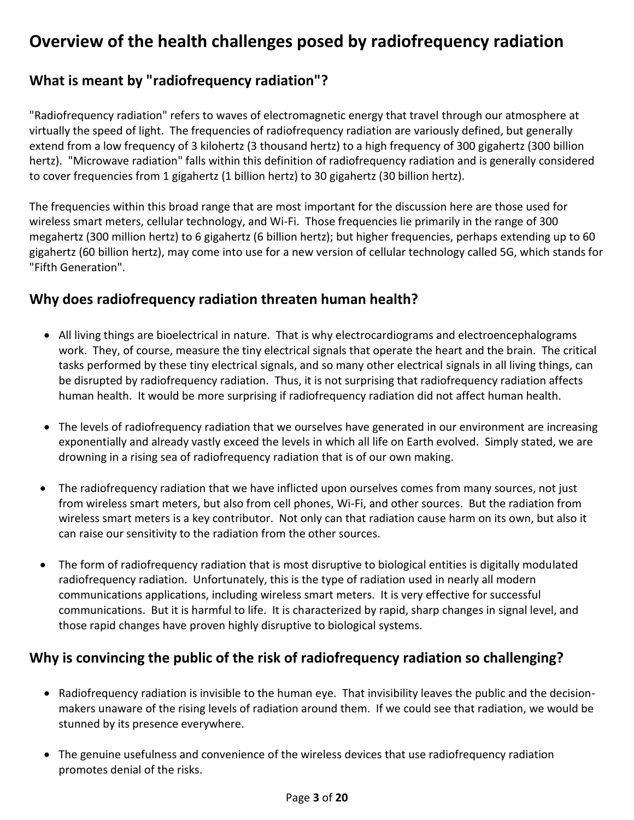# **Overview of the health challenges posed by radiofrequency radiation**

### **What is meant by "radiofrequency radiation"?**

"Radiofrequency radiation" refers to waves of electromagnetic energy that travel through our atmosphere at virtually the speed of light. The frequencies of radiofrequency radiation are variously defined, but generally extend from a low frequency of 3 kilohertz (3 thousand hertz) to a high frequency of 300 gigahertz (300 billion hertz). "Microwave radiation" falls within this definition of radiofrequency radiation and is generally considered to cover frequencies from 1 gigahertz (1 billion hertz) to 30 gigahertz (30 billion hertz).

The frequencies within this broad range that are most important for the discussion here are those used for wireless smart meters, cellular technology, and Wi-Fi. Those frequencies lie primarily in the range of 300 megahertz (300 million hertz) to 6 gigahertz (6 billion hertz); but higher frequencies, perhaps extending up to 60 gigahertz (60 billion hertz), may come into use for a new version of cellular technology called 5G, which stands for "Fifth Generation".

### **Why does radiofrequency radiation threaten human health?**

- All living things are bioelectrical in nature. That is why electrocardiograms and electroencephalograms work. They, of course, measure the tiny electrical signals that operate the heart and the brain. The critical tasks performed by these tiny electrical signals, and so many other electrical signals in all living things, can be disrupted by radiofrequency radiation. Thus, it is not surprising that radiofrequency radiation affects human health. It would be more surprising if radiofrequency radiation did not affect human health.
- The levels of radiofrequency radiation that we ourselves have generated in our environment are increasing exponentially and already vastly exceed the levels in which all life on Earth evolved. Simply stated, we are drowning in a rising sea of radiofrequency radiation that is of our own making.
- The radiofrequency radiation that we have inflicted upon ourselves comes from many sources, not just from wireless smart meters, but also from cell phones, Wi-Fi, and other sources. But the radiation from wireless smart meters is a key contributor. Not only can that radiation cause harm on its own, but also it can raise our sensitivity to the radiation from the other sources.
- The form of radiofrequency radiation that is most disruptive to biological entities is digitally modulated radiofrequency radiation. Unfortunately, this is the type of radiation used in nearly all modern communications applications, including wireless smart meters. It is very effective for successful communications. But it is harmful to life. It is characterized by rapid, sharp changes in signal level, and those rapid changes have proven highly disruptive to biological systems.

### **Why is convincing the public of the risk of radiofrequency radiation so challenging?**

- Radiofrequency radiation is invisible to the human eye. That invisibility leaves the public and the decisionmakers unaware of the rising levels of radiation around them. If we could see that radiation, we would be stunned by its presence everywhere.
- The genuine usefulness and convenience of the wireless devices that use radiofrequency radiation promotes denial of the risks.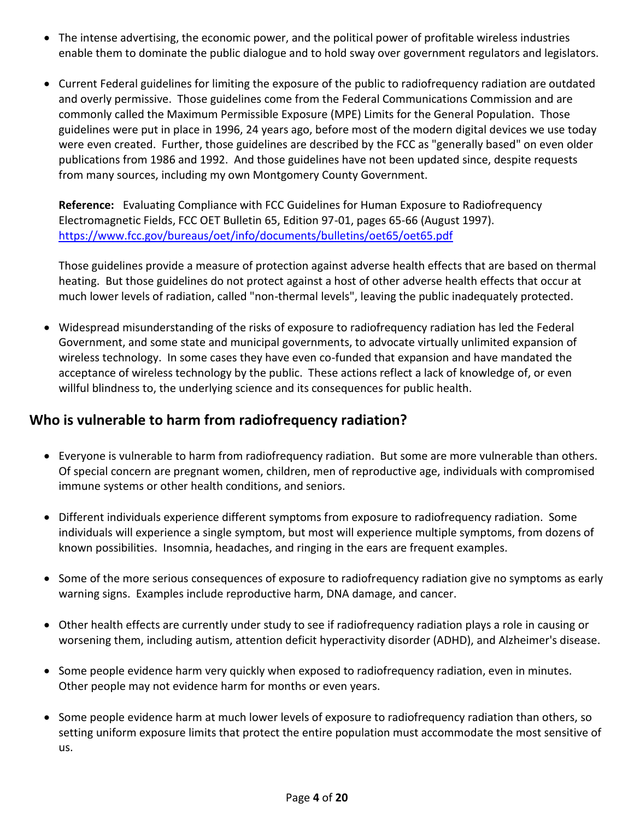- The intense advertising, the economic power, and the political power of profitable wireless industries enable them to dominate the public dialogue and to hold sway over government regulators and legislators.
- Current Federal guidelines for limiting the exposure of the public to radiofrequency radiation are outdated and overly permissive. Those guidelines come from the Federal Communications Commission and are commonly called the Maximum Permissible Exposure (MPE) Limits for the General Population. Those guidelines were put in place in 1996, 24 years ago, before most of the modern digital devices we use today were even created. Further, those guidelines are described by the FCC as "generally based" on even older publications from 1986 and 1992. And those guidelines have not been updated since, despite requests from many sources, including my own Montgomery County Government.

**Reference:** Evaluating Compliance with FCC Guidelines for Human Exposure to Radiofrequency Electromagnetic Fields, FCC OET Bulletin 65, Edition 97-01, pages 65-66 (August 1997). <https://www.fcc.gov/bureaus/oet/info/documents/bulletins/oet65/oet65.pdf>

Those guidelines provide a measure of protection against adverse health effects that are based on thermal heating. But those guidelines do not protect against a host of other adverse health effects that occur at much lower levels of radiation, called "non-thermal levels", leaving the public inadequately protected.

 Widespread misunderstanding of the risks of exposure to radiofrequency radiation has led the Federal Government, and some state and municipal governments, to advocate virtually unlimited expansion of wireless technology. In some cases they have even co-funded that expansion and have mandated the acceptance of wireless technology by the public. These actions reflect a lack of knowledge of, or even willful blindness to, the underlying science and its consequences for public health.

### **Who is vulnerable to harm from radiofrequency radiation?**

- Everyone is vulnerable to harm from radiofrequency radiation. But some are more vulnerable than others. Of special concern are pregnant women, children, men of reproductive age, individuals with compromised immune systems or other health conditions, and seniors.
- Different individuals experience different symptoms from exposure to radiofrequency radiation. Some individuals will experience a single symptom, but most will experience multiple symptoms, from dozens of known possibilities. Insomnia, headaches, and ringing in the ears are frequent examples.
- Some of the more serious consequences of exposure to radiofrequency radiation give no symptoms as early warning signs. Examples include reproductive harm, DNA damage, and cancer.
- Other health effects are currently under study to see if radiofrequency radiation plays a role in causing or worsening them, including autism, attention deficit hyperactivity disorder (ADHD), and Alzheimer's disease.
- Some people evidence harm very quickly when exposed to radiofrequency radiation, even in minutes. Other people may not evidence harm for months or even years.
- Some people evidence harm at much lower levels of exposure to radiofrequency radiation than others, so setting uniform exposure limits that protect the entire population must accommodate the most sensitive of us.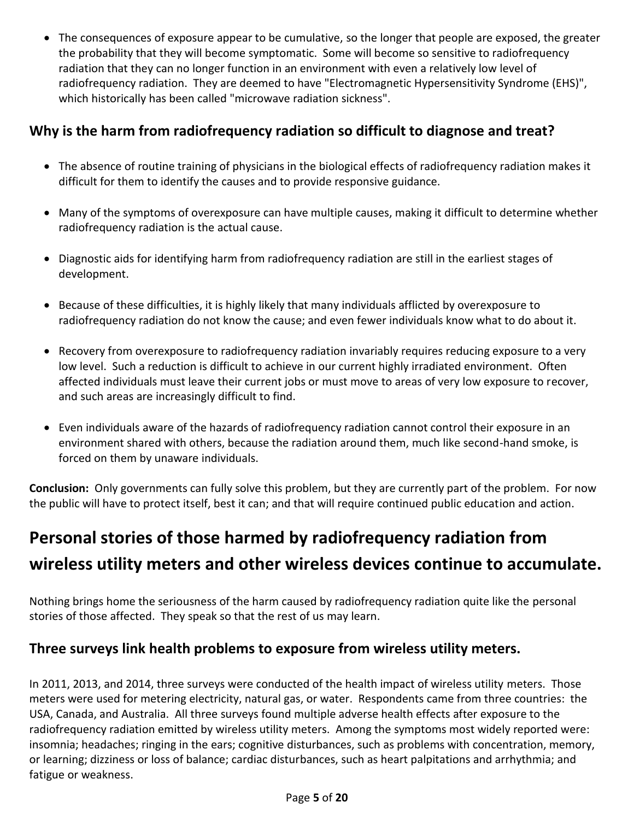The consequences of exposure appear to be cumulative, so the longer that people are exposed, the greater the probability that they will become symptomatic. Some will become so sensitive to radiofrequency radiation that they can no longer function in an environment with even a relatively low level of radiofrequency radiation. They are deemed to have "Electromagnetic Hypersensitivity Syndrome (EHS)", which historically has been called "microwave radiation sickness".

### **Why is the harm from radiofrequency radiation so difficult to diagnose and treat?**

- The absence of routine training of physicians in the biological effects of radiofrequency radiation makes it difficult for them to identify the causes and to provide responsive guidance.
- Many of the symptoms of overexposure can have multiple causes, making it difficult to determine whether radiofrequency radiation is the actual cause.
- Diagnostic aids for identifying harm from radiofrequency radiation are still in the earliest stages of development.
- Because of these difficulties, it is highly likely that many individuals afflicted by overexposure to radiofrequency radiation do not know the cause; and even fewer individuals know what to do about it.
- Recovery from overexposure to radiofrequency radiation invariably requires reducing exposure to a very low level. Such a reduction is difficult to achieve in our current highly irradiated environment. Often affected individuals must leave their current jobs or must move to areas of very low exposure to recover, and such areas are increasingly difficult to find.
- Even individuals aware of the hazards of radiofrequency radiation cannot control their exposure in an environment shared with others, because the radiation around them, much like second-hand smoke, is forced on them by unaware individuals.

**Conclusion:** Only governments can fully solve this problem, but they are currently part of the problem. For now the public will have to protect itself, best it can; and that will require continued public education and action.

# **Personal stories of those harmed by radiofrequency radiation from wireless utility meters and other wireless devices continue to accumulate.**

Nothing brings home the seriousness of the harm caused by radiofrequency radiation quite like the personal stories of those affected. They speak so that the rest of us may learn.

### **Three surveys link health problems to exposure from wireless utility meters.**

In 2011, 2013, and 2014, three surveys were conducted of the health impact of wireless utility meters. Those meters were used for metering electricity, natural gas, or water. Respondents came from three countries: the USA, Canada, and Australia. All three surveys found multiple adverse health effects after exposure to the radiofrequency radiation emitted by wireless utility meters. Among the symptoms most widely reported were: insomnia; headaches; ringing in the ears; cognitive disturbances, such as problems with concentration, memory, or learning; dizziness or loss of balance; cardiac disturbances, such as heart palpitations and arrhythmia; and fatigue or weakness.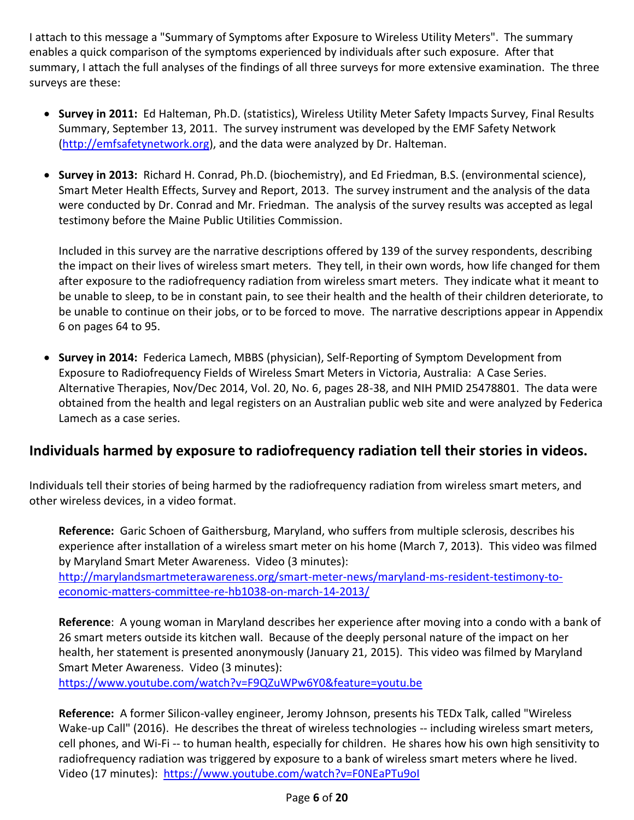I attach to this message a "Summary of Symptoms after Exposure to Wireless Utility Meters". The summary enables a quick comparison of the symptoms experienced by individuals after such exposure. After that summary, I attach the full analyses of the findings of all three surveys for more extensive examination. The three surveys are these:

- **Survey in 2011:** Ed Halteman, Ph.D. (statistics), Wireless Utility Meter Safety Impacts Survey, Final Results Summary, September 13, 2011. The survey instrument was developed by the EMF Safety Network [\(http://emfsafetynetwork.org\)](http://emfsafetynetwork.org/), and the data were analyzed by Dr. Halteman.
- **Survey in 2013:** Richard H. Conrad, Ph.D. (biochemistry), and Ed Friedman, B.S. (environmental science), Smart Meter Health Effects, Survey and Report, 2013. The survey instrument and the analysis of the data were conducted by Dr. Conrad and Mr. Friedman. The analysis of the survey results was accepted as legal testimony before the Maine Public Utilities Commission.

Included in this survey are the narrative descriptions offered by 139 of the survey respondents, describing the impact on their lives of wireless smart meters. They tell, in their own words, how life changed for them after exposure to the radiofrequency radiation from wireless smart meters. They indicate what it meant to be unable to sleep, to be in constant pain, to see their health and the health of their children deteriorate, to be unable to continue on their jobs, or to be forced to move. The narrative descriptions appear in Appendix 6 on pages 64 to 95.

 **Survey in 2014:** Federica Lamech, MBBS (physician), Self-Reporting of Symptom Development from Exposure to Radiofrequency Fields of Wireless Smart Meters in Victoria, Australia: A Case Series. Alternative Therapies, Nov/Dec 2014, Vol. 20, No. 6, pages 28-38, and NIH PMID 25478801. The data were obtained from the health and legal registers on an Australian public web site and were analyzed by Federica Lamech as a case series.

### **Individuals harmed by exposure to radiofrequency radiation tell their stories in videos.**

Individuals tell their stories of being harmed by the radiofrequency radiation from wireless smart meters, and other wireless devices, in a video format.

**Reference:** Garic Schoen of Gaithersburg, Maryland, who suffers from multiple sclerosis, describes his experience after installation of a wireless smart meter on his home (March 7, 2013). This video was filmed by Maryland Smart Meter Awareness. Video (3 minutes):

[http://marylandsmartmeterawareness.org/smart-meter-news/maryland-ms-resident-testimony-to](http://marylandsmartmeterawareness.org/smart-meter-news/maryland-ms-resident-testimony-to-economic-matters-committee-re-hb1038-on-march-14-2013/)[economic-matters-committee-re-hb1038-on-march-14-2013/](http://marylandsmartmeterawareness.org/smart-meter-news/maryland-ms-resident-testimony-to-economic-matters-committee-re-hb1038-on-march-14-2013/)

**Reference**: A young woman in Maryland describes her experience after moving into a condo with a bank of 26 smart meters outside its kitchen wall. Because of the deeply personal nature of the impact on her health, her statement is presented anonymously (January 21, 2015). This video was filmed by Maryland Smart Meter Awareness. Video (3 minutes):

<https://www.youtube.com/watch?v=F9QZuWPw6Y0&feature=youtu.be>

**Reference:** A former Silicon-valley engineer, Jeromy Johnson, presents his TEDx Talk, called "Wireless Wake-up Call" (2016). He describes the threat of wireless technologies -- including wireless smart meters, cell phones, and Wi-Fi -- to human health, especially for children. He shares how his own high sensitivity to radiofrequency radiation was triggered by exposure to a bank of wireless smart meters where he lived. Video (17 minutes): https://www.youtube.com/watch?v=F0NEaPTu9ol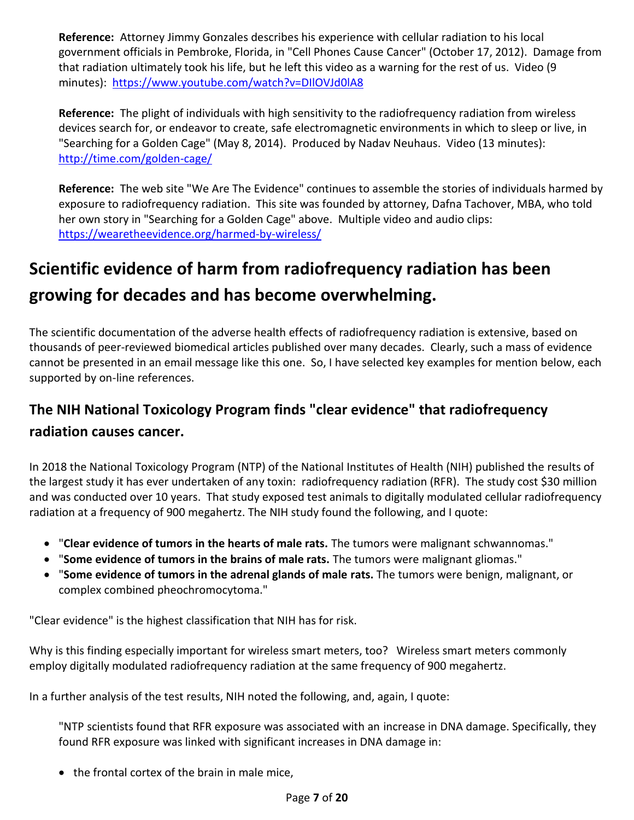**Reference:** Attorney Jimmy Gonzales describes his experience with cellular radiation to his local government officials in Pembroke, Florida, in "Cell Phones Cause Cancer" (October 17, 2012). Damage from that radiation ultimately took his life, but he left this video as a warning for the rest of us. Video (9 minutes): <https://www.youtube.com/watch?v=DIlOVJd0lA8>

**Reference:** The plight of individuals with high sensitivity to the radiofrequency radiation from wireless devices search for, or endeavor to create, safe electromagnetic environments in which to sleep or live, in "Searching for a Golden Cage" (May 8, 2014). Produced by Nadav Neuhaus. Video (13 minutes): <http://time.com/golden-cage/>

**Reference:** The web site "We Are The Evidence" continues to assemble the stories of individuals harmed by exposure to radiofrequency radiation. This site was founded by attorney, Dafna Tachover, MBA, who told her own story in "Searching for a Golden Cage" above. Multiple video and audio clips: <https://wearetheevidence.org/harmed-by-wireless/>

# **Scientific evidence of harm from radiofrequency radiation has been growing for decades and has become overwhelming.**

The scientific documentation of the adverse health effects of radiofrequency radiation is extensive, based on thousands of peer-reviewed biomedical articles published over many decades. Clearly, such a mass of evidence cannot be presented in an email message like this one. So, I have selected key examples for mention below, each supported by on-line references.

# **The NIH National Toxicology Program finds "clear evidence" that radiofrequency radiation causes cancer.**

In 2018 the National Toxicology Program (NTP) of the National Institutes of Health (NIH) published the results of the largest study it has ever undertaken of any toxin: radiofrequency radiation (RFR). The study cost \$30 million and was conducted over 10 years. That study exposed test animals to digitally modulated cellular radiofrequency radiation at a frequency of 900 megahertz. The NIH study found the following, and I quote:

- "**Clear evidence of tumors in the hearts of male rats.** The tumors were malignant schwannomas."
- "**Some evidence of tumors in the brains of male rats.** The tumors were malignant gliomas."
- "**Some evidence of tumors in the adrenal glands of male rats.** The tumors were benign, malignant, or complex combined pheochromocytoma."

"Clear evidence" is the highest classification that NIH has for risk.

Why is this finding especially important for wireless smart meters, too? Wireless smart meters commonly employ digitally modulated radiofrequency radiation at the same frequency of 900 megahertz.

In a further analysis of the test results, NIH noted the following, and, again, I quote:

"NTP scientists found that RFR exposure was associated with an increase in DNA damage. Specifically, they found RFR exposure was linked with significant increases in DNA damage in:

• the frontal cortex of the brain in male mice,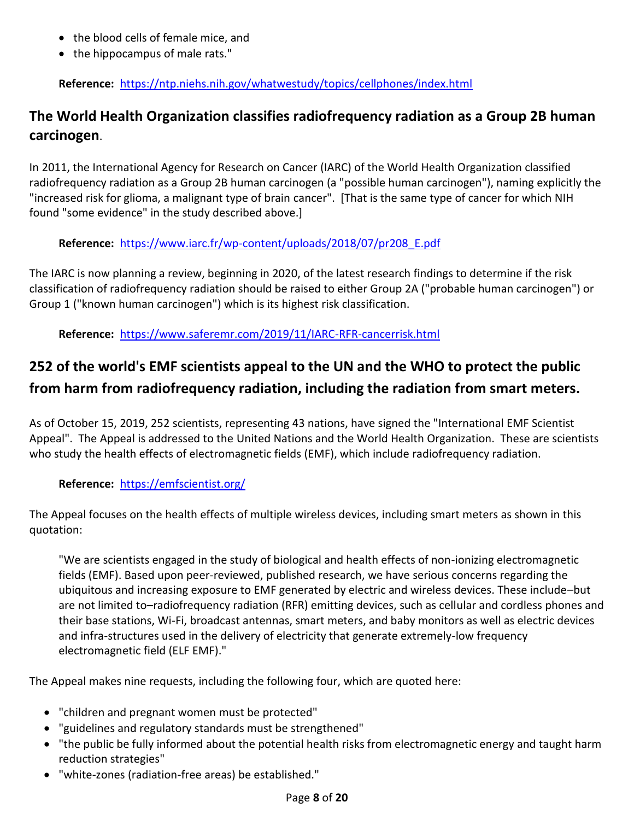- the blood cells of female mice, and
- the hippocampus of male rats."

**Reference:** <https://ntp.niehs.nih.gov/whatwestudy/topics/cellphones/index.html>

### **The World Health Organization classifies radiofrequency radiation as a Group 2B human carcinogen**.

In 2011, the International Agency for Research on Cancer (IARC) of the World Health Organization classified radiofrequency radiation as a Group 2B human carcinogen (a "possible human carcinogen"), naming explicitly the "increased risk for glioma, a malignant type of brain cancer". [That is the same type of cancer for which NIH found "some evidence" in the study described above.]

#### **Reference:** [https://www.iarc.fr/wp-content/uploads/2018/07/pr208\\_E.pdf](https://www.iarc.fr/wp-content/uploads/2018/07/pr208_E.pdf)

The IARC is now planning a review, beginning in 2020, of the latest research findings to determine if the risk classification of radiofrequency radiation should be raised to either Group 2A ("probable human carcinogen") or Group 1 ("known human carcinogen") which is its highest risk classification.

**Reference:** <https://www.saferemr.com/2019/11/IARC-RFR-cancerrisk.html>

# **252 of the world's EMF scientists appeal to the UN and the WHO to protect the public from harm from radiofrequency radiation, including the radiation from smart meters.**

As of October 15, 2019, 252 scientists, representing 43 nations, have signed the "International EMF Scientist Appeal". The Appeal is addressed to the United Nations and the World Health Organization. These are scientists who study the health effects of electromagnetic fields (EMF), which include radiofrequency radiation.

#### **Reference:** <https://emfscientist.org/>

The Appeal focuses on the health effects of multiple wireless devices, including smart meters as shown in this quotation:

"We are scientists engaged in the study of biological and health effects of non-ionizing electromagnetic fields (EMF). Based upon peer-reviewed, published research, we have serious concerns regarding the ubiquitous and increasing exposure to EMF generated by electric and wireless devices. These include–but are not limited to–radiofrequency radiation (RFR) emitting devices, such as cellular and cordless phones and their base stations, Wi-Fi, broadcast antennas, smart meters, and baby monitors as well as electric devices and infra-structures used in the delivery of electricity that generate extremely-low frequency electromagnetic field (ELF EMF)."

The Appeal makes nine requests, including the following four, which are quoted here:

- "children and pregnant women must be protected"
- "guidelines and regulatory standards must be strengthened"
- "the public be fully informed about the potential health risks from electromagnetic energy and taught harm reduction strategies"
- "white-zones (radiation-free areas) be established."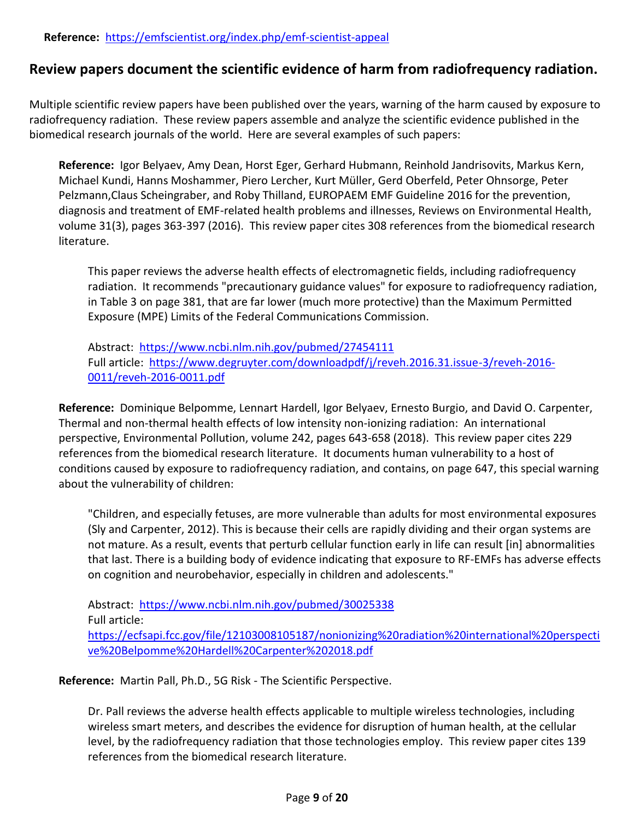### **Review papers document the scientific evidence of harm from radiofrequency radiation.**

Multiple scientific review papers have been published over the years, warning of the harm caused by exposure to radiofrequency radiation. These review papers assemble and analyze the scientific evidence published in the biomedical research journals of the world. Here are several examples of such papers:

**Reference:** Igor Belyaev, Amy Dean, Horst Eger, Gerhard Hubmann, Reinhold Jandrisovits, Markus Kern, Michael Kundi, Hanns Moshammer, Piero Lercher, Kurt Müller, Gerd Oberfeld, Peter Ohnsorge, Peter Pelzmann,Claus Scheingraber, and Roby Thilland, EUROPAEM EMF Guideline 2016 for the prevention, diagnosis and treatment of EMF-related health problems and illnesses, Reviews on Environmental Health, volume 31(3), pages 363-397 (2016). This review paper cites 308 references from the biomedical research literature.

This paper reviews the adverse health effects of electromagnetic fields, including radiofrequency radiation. It recommends "precautionary guidance values" for exposure to radiofrequency radiation, in Table 3 on page 381, that are far lower (much more protective) than the Maximum Permitted Exposure (MPE) Limits of the Federal Communications Commission.

Abstract: <https://www.ncbi.nlm.nih.gov/pubmed/27454111> Full article: [https://www.degruyter.com/downloadpdf/j/reveh.2016.31.issue-3/reveh-2016-](https://www.degruyter.com/downloadpdf/j/reveh.2016.31.issue-3/reveh-2016-0011/reveh-2016-0011.pdf) [0011/reveh-2016-0011.pdf](https://www.degruyter.com/downloadpdf/j/reveh.2016.31.issue-3/reveh-2016-0011/reveh-2016-0011.pdf)

**Reference:** Dominique Belpomme, Lennart Hardell, Igor Belyaev, Ernesto Burgio, and David O. Carpenter, Thermal and non-thermal health effects of low intensity non-ionizing radiation: An international perspective, Environmental Pollution, volume 242, pages 643-658 (2018). This review paper cites 229 references from the biomedical research literature. It documents human vulnerability to a host of conditions caused by exposure to radiofrequency radiation, and contains, on page 647, this special warning about the vulnerability of children:

"Children, and especially fetuses, are more vulnerable than adults for most environmental exposures (Sly and Carpenter, 2012). This is because their cells are rapidly dividing and their organ systems are not mature. As a result, events that perturb cellular function early in life can result [in] abnormalities that last. There is a building body of evidence indicating that exposure to RF-EMFs has adverse effects on cognition and neurobehavior, especially in children and adolescents."

Abstract: <https://www.ncbi.nlm.nih.gov/pubmed/30025338> Full article: [https://ecfsapi.fcc.gov/file/12103008105187/nonionizing%20radiation%20international%20perspecti](https://ecfsapi.fcc.gov/file/12103008105187/nonionizing%20radiation%20international%20perspective%20Belpomme%20Hardell%20Carpenter%202018.pdf) [ve%20Belpomme%20Hardell%20Carpenter%202018.pdf](https://ecfsapi.fcc.gov/file/12103008105187/nonionizing%20radiation%20international%20perspective%20Belpomme%20Hardell%20Carpenter%202018.pdf)

**Reference:** Martin Pall, Ph.D., 5G Risk - The Scientific Perspective.

Dr. Pall reviews the adverse health effects applicable to multiple wireless technologies, including wireless smart meters, and describes the evidence for disruption of human health, at the cellular level, by the radiofrequency radiation that those technologies employ. This review paper cites 139 references from the biomedical research literature.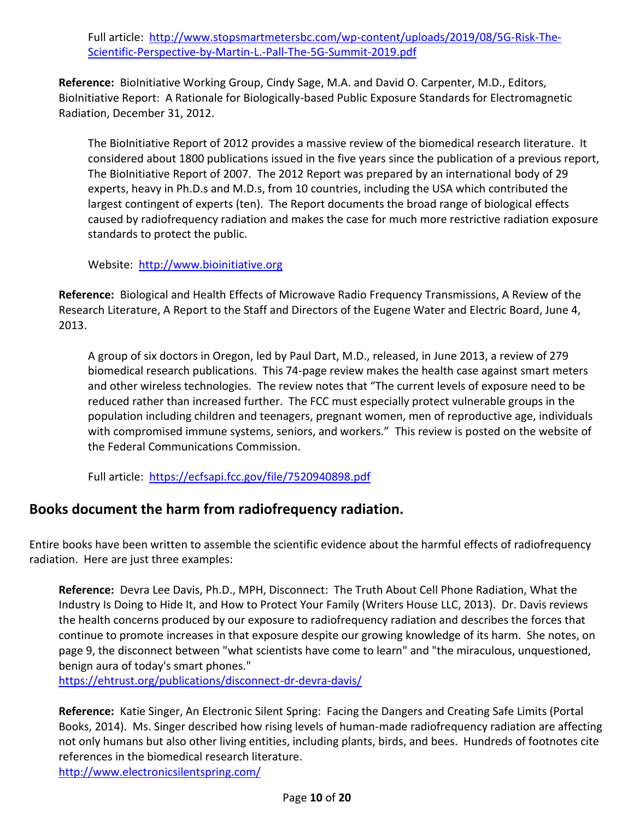Full article: [http://www.stopsmartmetersbc.com/wp-content/uploads/2019/08/5G-Risk-The-](http://www.stopsmartmetersbc.com/wp-content/uploads/2019/08/5G-Risk-The-Scientific-Perspective-by-Martin-L.-Pall-The-5G-Summit-2019.pdf)[Scientific-Perspective-by-Martin-L.-Pall-The-5G-Summit-2019.pdf](http://www.stopsmartmetersbc.com/wp-content/uploads/2019/08/5G-Risk-The-Scientific-Perspective-by-Martin-L.-Pall-The-5G-Summit-2019.pdf)

**Reference:** BioInitiative Working Group, Cindy Sage, M.A. and David O. Carpenter, M.D., Editors, BioInitiative Report: A Rationale for Biologically-based Public Exposure Standards for Electromagnetic Radiation, December 31, 2012.

The BioInitiative Report of 2012 provides a massive review of the biomedical research literature. It considered about 1800 publications issued in the five years since the publication of a previous report, The BioInitiative Report of 2007. The 2012 Report was prepared by an international body of 29 experts, heavy in Ph.D.s and M.D.s, from 10 countries, including the USA which contributed the largest contingent of experts (ten). The Report documents the broad range of biological effects caused by radiofrequency radiation and makes the case for much more restrictive radiation exposure standards to protect the public.

Website: [http://www.bioinitiative.org](http://www.bioinitiative.org/)

**Reference:** Biological and Health Effects of Microwave Radio Frequency Transmissions, A Review of the Research Literature, A Report to the Staff and Directors of the Eugene Water and Electric Board, June 4, 2013.

A group of six doctors in Oregon, led by Paul Dart, M.D., released, in June 2013, a review of 279 biomedical research publications. This 74-page review makes the health case against smart meters and other wireless technologies. The review notes that "The current levels of exposure need to be reduced rather than increased further. The FCC must especially protect vulnerable groups in the population including children and teenagers, pregnant women, men of reproductive age, individuals with compromised immune systems, seniors, and workers." This review is posted on the website of the Federal Communications Commission.

Full article: <https://ecfsapi.fcc.gov/file/7520940898.pdf>

### **Books document the harm from radiofrequency radiation.**

Entire books have been written to assemble the scientific evidence about the harmful effects of radiofrequency radiation. Here are just three examples:

**Reference:** Devra Lee Davis, Ph.D., MPH, Disconnect: The Truth About Cell Phone Radiation, What the Industry Is Doing to Hide It, and How to Protect Your Family (Writers House LLC, 2013). Dr. Davis reviews the health concerns produced by our exposure to radiofrequency radiation and describes the forces that continue to promote increases in that exposure despite our growing knowledge of its harm. She notes, on page 9, the disconnect between "what scientists have come to learn" and "the miraculous, unquestioned, benign aura of today's smart phones."

<https://ehtrust.org/publications/disconnect-dr-devra-davis/>

**Reference:** Katie Singer, An Electronic Silent Spring: Facing the Dangers and Creating Safe Limits (Portal Books, 2014). Ms. Singer described how rising levels of human-made radiofrequency radiation are affecting not only humans but also other living entities, including plants, birds, and bees. Hundreds of footnotes cite references in the biomedical research literature. <http://www.electronicsilentspring.com/>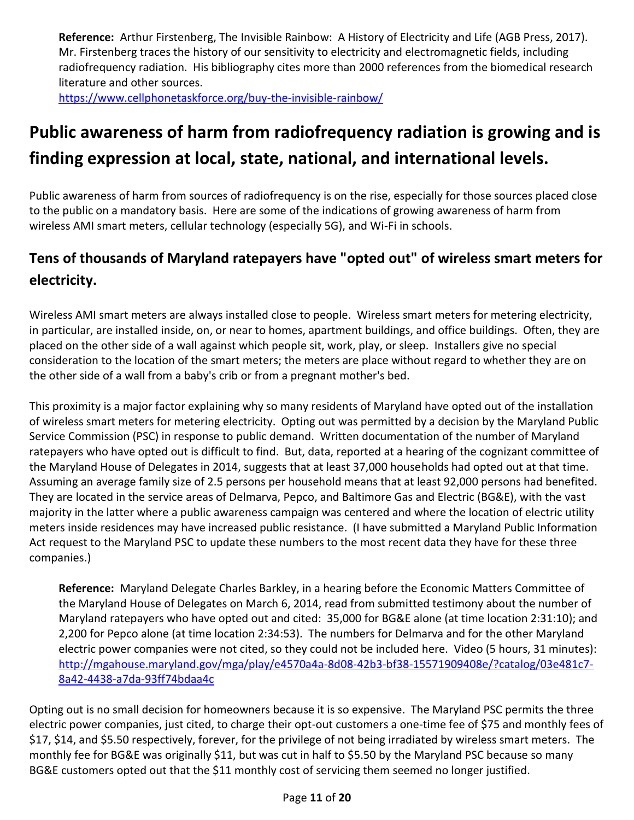**Reference:** Arthur Firstenberg, The Invisible Rainbow: A History of Electricity and Life (AGB Press, 2017). Mr. Firstenberg traces the history of our sensitivity to electricity and electromagnetic fields, including radiofrequency radiation. His bibliography cites more than 2000 references from the biomedical research literature and other sources. <https://www.cellphonetaskforce.org/buy-the-invisible-rainbow/>

# **Public awareness of harm from radiofrequency radiation is growing and is finding expression at local, state, national, and international levels.**

Public awareness of harm from sources of radiofrequency is on the rise, especially for those sources placed close to the public on a mandatory basis. Here are some of the indications of growing awareness of harm from wireless AMI smart meters, cellular technology (especially 5G), and Wi-Fi in schools.

# **Tens of thousands of Maryland ratepayers have "opted out" of wireless smart meters for electricity.**

Wireless AMI smart meters are always installed close to people. Wireless smart meters for metering electricity, in particular, are installed inside, on, or near to homes, apartment buildings, and office buildings. Often, they are placed on the other side of a wall against which people sit, work, play, or sleep. Installers give no special consideration to the location of the smart meters; the meters are place without regard to whether they are on the other side of a wall from a baby's crib or from a pregnant mother's bed.

This proximity is a major factor explaining why so many residents of Maryland have opted out of the installation of wireless smart meters for metering electricity. Opting out was permitted by a decision by the Maryland Public Service Commission (PSC) in response to public demand. Written documentation of the number of Maryland ratepayers who have opted out is difficult to find. But, data, reported at a hearing of the cognizant committee of the Maryland House of Delegates in 2014, suggests that at least 37,000 households had opted out at that time. Assuming an average family size of 2.5 persons per household means that at least 92,000 persons had benefited. They are located in the service areas of Delmarva, Pepco, and Baltimore Gas and Electric (BG&E), with the vast majority in the latter where a public awareness campaign was centered and where the location of electric utility meters inside residences may have increased public resistance. (I have submitted a Maryland Public Information Act request to the Maryland PSC to update these numbers to the most recent data they have for these three companies.)

**Reference:** Maryland Delegate Charles Barkley, in a hearing before the Economic Matters Committee of the Maryland House of Delegates on March 6, 2014, read from submitted testimony about the number of Maryland ratepayers who have opted out and cited: 35,000 for BG&E alone (at time location 2:31:10); and 2,200 for Pepco alone (at time location 2:34:53). The numbers for Delmarva and for the other Maryland electric power companies were not cited, so they could not be included here. Video (5 hours, 31 minutes): [http://mgahouse.maryland.gov/mga/play/e4570a4a-8d08-42b3-bf38-15571909408e/?catalog/03e481c7-](http://mgahouse.maryland.gov/mga/play/e4570a4a-8d08-42b3-bf38-15571909408e/?catalog/03e481c7-8a42-4438-a7da-93ff74bdaa4c) [8a42-4438-a7da-93ff74bdaa4c](http://mgahouse.maryland.gov/mga/play/e4570a4a-8d08-42b3-bf38-15571909408e/?catalog/03e481c7-8a42-4438-a7da-93ff74bdaa4c)

Opting out is no small decision for homeowners because it is so expensive. The Maryland PSC permits the three electric power companies, just cited, to charge their opt-out customers a one-time fee of \$75 and monthly fees of \$17, \$14, and \$5.50 respectively, forever, for the privilege of not being irradiated by wireless smart meters. The monthly fee for BG&E was originally \$11, but was cut in half to \$5.50 by the Maryland PSC because so many BG&E customers opted out that the \$11 monthly cost of servicing them seemed no longer justified.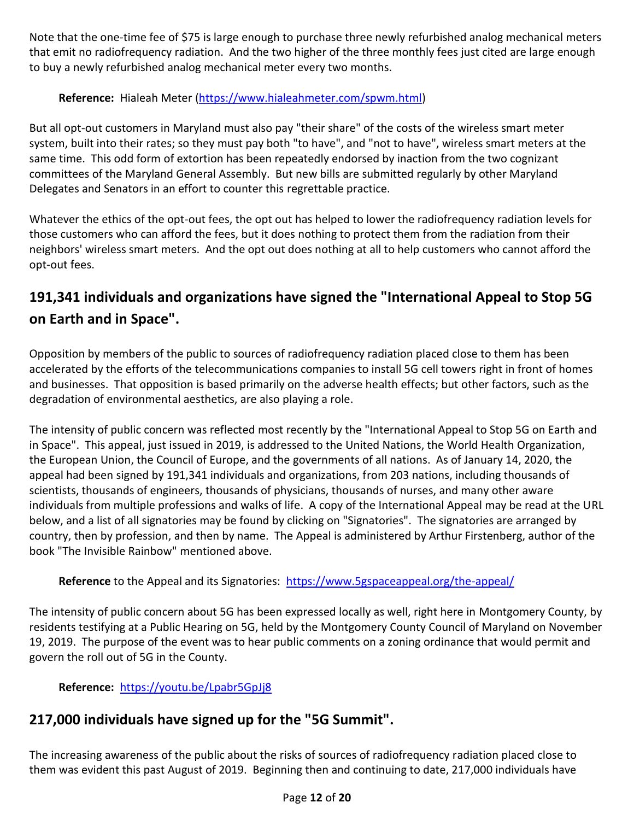Note that the one-time fee of \$75 is large enough to purchase three newly refurbished analog mechanical meters that emit no radiofrequency radiation. And the two higher of the three monthly fees just cited are large enough to buy a newly refurbished analog mechanical meter every two months.

#### **Reference:** Hialeah Meter [\(https://www.hialeahmeter.com/spwm.html\)](https://www.hialeahmeter.com/spwm.html)

But all opt-out customers in Maryland must also pay "their share" of the costs of the wireless smart meter system, built into their rates; so they must pay both "to have", and "not to have", wireless smart meters at the same time. This odd form of extortion has been repeatedly endorsed by inaction from the two cognizant committees of the Maryland General Assembly. But new bills are submitted regularly by other Maryland Delegates and Senators in an effort to counter this regrettable practice.

Whatever the ethics of the opt-out fees, the opt out has helped to lower the radiofrequency radiation levels for those customers who can afford the fees, but it does nothing to protect them from the radiation from their neighbors' wireless smart meters. And the opt out does nothing at all to help customers who cannot afford the opt-out fees.

### **191,341 individuals and organizations have signed the "International Appeal to Stop 5G on Earth and in Space".**

Opposition by members of the public to sources of radiofrequency radiation placed close to them has been accelerated by the efforts of the telecommunications companies to install 5G cell towers right in front of homes and businesses. That opposition is based primarily on the adverse health effects; but other factors, such as the degradation of environmental aesthetics, are also playing a role.

The intensity of public concern was reflected most recently by the "International Appeal to Stop 5G on Earth and in Space". This appeal, just issued in 2019, is addressed to the United Nations, the World Health Organization, the European Union, the Council of Europe, and the governments of all nations. As of January 14, 2020, the appeal had been signed by 191,341 individuals and organizations, from 203 nations, including thousands of scientists, thousands of engineers, thousands of physicians, thousands of nurses, and many other aware individuals from multiple professions and walks of life. A copy of the International Appeal may be read at the URL below, and a list of all signatories may be found by clicking on "Signatories". The signatories are arranged by country, then by profession, and then by name. The Appeal is administered by Arthur Firstenberg, author of the book "The Invisible Rainbow" mentioned above.

#### **Reference** to the Appeal and its Signatories: <https://www.5gspaceappeal.org/the-appeal/>

The intensity of public concern about 5G has been expressed locally as well, right here in Montgomery County, by residents testifying at a Public Hearing on 5G, held by the Montgomery County Council of Maryland on November 19, 2019. The purpose of the event was to hear public comments on a zoning ordinance that would permit and govern the roll out of 5G in the County.

#### **Reference:** <https://youtu.be/Lpabr5GpJj8>

# **217,000 individuals have signed up for the "5G Summit".**

The increasing awareness of the public about the risks of sources of radiofrequency radiation placed close to them was evident this past August of 2019. Beginning then and continuing to date, 217,000 individuals have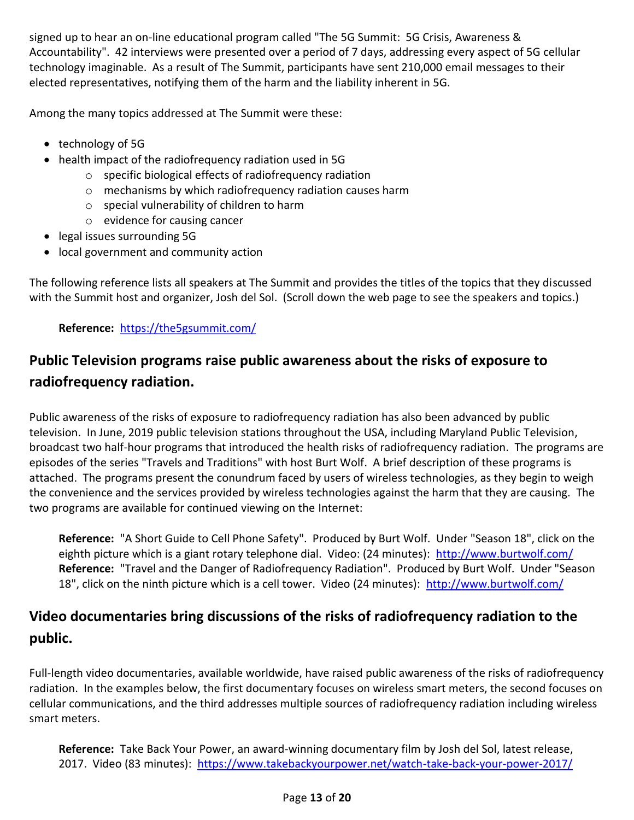signed up to hear an on-line educational program called "The 5G Summit: 5G Crisis, Awareness & Accountability". 42 interviews were presented over a period of 7 days, addressing every aspect of 5G cellular technology imaginable. As a result of The Summit, participants have sent 210,000 email messages to their elected representatives, notifying them of the harm and the liability inherent in 5G.

Among the many topics addressed at The Summit were these:

- technology of 5G
- health impact of the radiofrequency radiation used in 5G
	- o specific biological effects of radiofrequency radiation
	- o mechanisms by which radiofrequency radiation causes harm
	- o special vulnerability of children to harm
	- o evidence for causing cancer
- legal issues surrounding 5G
- local government and community action

The following reference lists all speakers at The Summit and provides the titles of the topics that they discussed with the Summit host and organizer, Josh del Sol. (Scroll down the web page to see the speakers and topics.)

#### **Reference:** <https://the5gsummit.com/>

## **Public Television programs raise public awareness about the risks of exposure to radiofrequency radiation.**

Public awareness of the risks of exposure to radiofrequency radiation has also been advanced by public television. In June, 2019 public television stations throughout the USA, including Maryland Public Television, broadcast two half-hour programs that introduced the health risks of radiofrequency radiation. The programs are episodes of the series "Travels and Traditions" with host Burt Wolf. A brief description of these programs is attached. The programs present the conundrum faced by users of wireless technologies, as they begin to weigh the convenience and the services provided by wireless technologies against the harm that they are causing. The two programs are available for continued viewing on the Internet:

**Reference:** "A Short Guide to Cell Phone Safety". Produced by Burt Wolf. Under "Season 18", click on the eighth picture which is a giant rotary telephone dial. Video: (24 minutes): <http://www.burtwolf.com/> **Reference:** "Travel and the Danger of Radiofrequency Radiation". Produced by Burt Wolf. Under "Season 18", click on the ninth picture which is a cell tower. Video (24 minutes): <http://www.burtwolf.com/>

## **Video documentaries bring discussions of the risks of radiofrequency radiation to the public.**

Full-length video documentaries, available worldwide, have raised public awareness of the risks of radiofrequency radiation. In the examples below, the first documentary focuses on wireless smart meters, the second focuses on cellular communications, and the third addresses multiple sources of radiofrequency radiation including wireless smart meters.

**Reference:** Take Back Your Power, an award-winning documentary film by Josh del Sol, latest release, 2017. Video (83 minutes): <https://www.takebackyourpower.net/watch-take-back-your-power-2017/>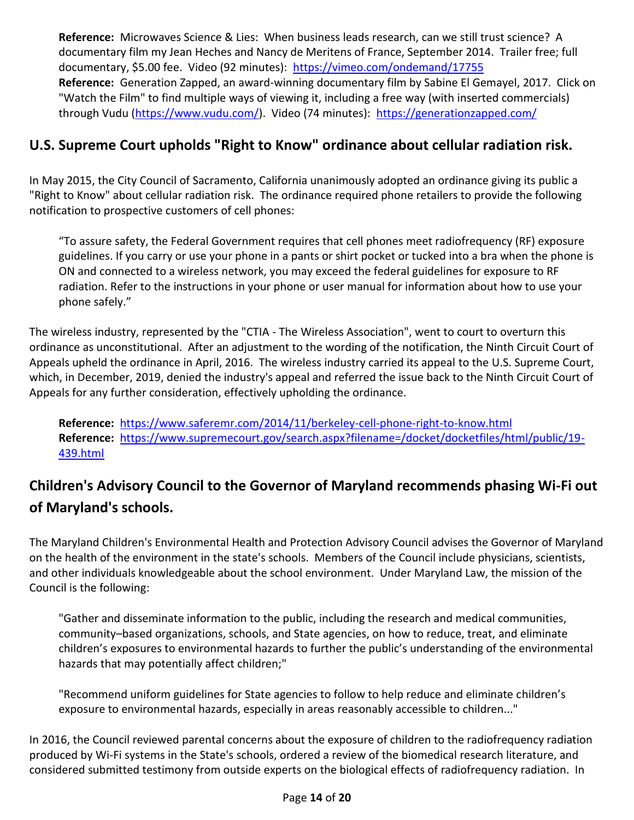**Reference:** Microwaves Science & Lies: When business leads research, can we still trust science? A documentary film my Jean Heches and Nancy de Meritens of France, September 2014. Trailer free; full documentary, \$5.00 fee. Video (92 minutes): <https://vimeo.com/ondemand/17755> **Reference:** Generation Zapped, an award-winning documentary film by Sabine El Gemayel, 2017. Click on "Watch the Film" to find multiple ways of viewing it, including a free way (with inserted commercials) through Vudu [\(https://www.vudu.com/\)](https://www.vudu.com/). Video (74 minutes): <https://generationzapped.com/>

### **U.S. Supreme Court upholds "Right to Know" ordinance about cellular radiation risk.**

In May 2015, the City Council of Sacramento, California unanimously adopted an ordinance giving its public a "Right to Know" about cellular radiation risk. The ordinance required phone retailers to provide the following notification to prospective customers of cell phones:

"To assure safety, the Federal Government requires that cell phones meet radiofrequency (RF) exposure guidelines. If you carry or use your phone in a pants or shirt pocket or tucked into a bra when the phone is ON and connected to a wireless network, you may exceed the federal guidelines for exposure to RF radiation. Refer to the instructions in your phone or user manual for information about how to use your phone safely."

The wireless industry, represented by the "CTIA - The Wireless Association", went to court to overturn this ordinance as unconstitutional. After an adjustment to the wording of the notification, the Ninth Circuit Court of Appeals upheld the ordinance in April, 2016. The wireless industry carried its appeal to the U.S. Supreme Court, which, in December, 2019, denied the industry's appeal and referred the issue back to the Ninth Circuit Court of Appeals for any further consideration, effectively upholding the ordinance.

**Reference:** <https://www.saferemr.com/2014/11/berkeley-cell-phone-right-to-know.html> **Reference:** [https://www.supremecourt.gov/search.aspx?filename=/docket/docketfiles/html/public/19-](https://www.supremecourt.gov/search.aspx?filename=/docket/docketfiles/html/public/19-439.html) [439.html](https://www.supremecourt.gov/search.aspx?filename=/docket/docketfiles/html/public/19-439.html)

# **Children's Advisory Council to the Governor of Maryland recommends phasing Wi-Fi out of Maryland's schools.**

The Maryland Children's Environmental Health and Protection Advisory Council advises the Governor of Maryland on the health of the environment in the state's schools. Members of the Council include physicians, scientists, and other individuals knowledgeable about the school environment. Under Maryland Law, the mission of the Council is the following:

"Gather and disseminate information to the public, including the research and medical communities, community–based organizations, schools, and State agencies, on how to reduce, treat, and eliminate children's exposures to environmental hazards to further the public's understanding of the environmental hazards that may potentially affect children;"

"Recommend uniform guidelines for State agencies to follow to help reduce and eliminate children's exposure to environmental hazards, especially in areas reasonably accessible to children..."

In 2016, the Council reviewed parental concerns about the exposure of children to the radiofrequency radiation produced by Wi-Fi systems in the State's schools, ordered a review of the biomedical research literature, and considered submitted testimony from outside experts on the biological effects of radiofrequency radiation. In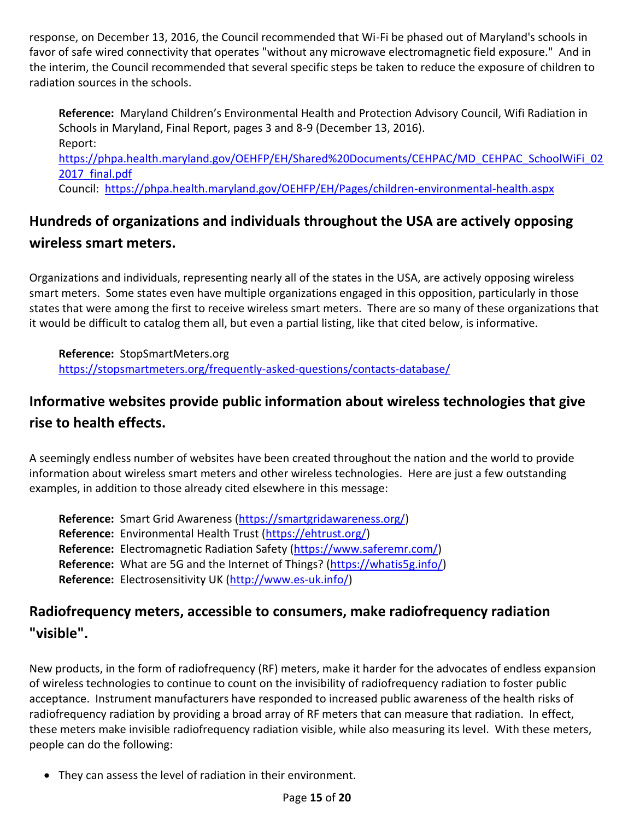response, on December 13, 2016, the Council recommended that Wi-Fi be phased out of Maryland's schools in favor of safe wired connectivity that operates "without any microwave electromagnetic field exposure." And in the interim, the Council recommended that several specific steps be taken to reduce the exposure of children to radiation sources in the schools.

**Reference:** Maryland Children's Environmental Health and Protection Advisory Council, Wifi Radiation in Schools in Maryland, Final Report, pages 3 and 8-9 (December 13, 2016). Report: [https://phpa.health.maryland.gov/OEHFP/EH/Shared%20Documents/CEHPAC/MD\\_CEHPAC\\_SchoolWiFi\\_02](https://phpa.health.maryland.gov/OEHFP/EH/Shared%20Documents/CEHPAC/MD_CEHPAC_SchoolWiFi_022017_final.pdf) 2017 final.pdf Council: <https://phpa.health.maryland.gov/OEHFP/EH/Pages/children-environmental-health.aspx>

# **Hundreds of organizations and individuals throughout the USA are actively opposing wireless smart meters.**

Organizations and individuals, representing nearly all of the states in the USA, are actively opposing wireless smart meters. Some states even have multiple organizations engaged in this opposition, particularly in those states that were among the first to receive wireless smart meters. There are so many of these organizations that it would be difficult to catalog them all, but even a partial listing, like that cited below, is informative.

**Reference:** StopSmartMeters.org <https://stopsmartmeters.org/frequently-asked-questions/contacts-database/>

# **Informative websites provide public information about wireless technologies that give rise to health effects.**

A seemingly endless number of websites have been created throughout the nation and the world to provide information about wireless smart meters and other wireless technologies. Here are just a few outstanding examples, in addition to those already cited elsewhere in this message:

**Reference:** Smart Grid Awareness [\(https://smartgridawareness.org/\)](https://smartgridawareness.org/) **Reference:** Environmental Health Trust [\(https://ehtrust.org/\)](https://ehtrust.org/) **Reference:** Electromagnetic Radiation Safety [\(https://www.saferemr.com/\)](https://www.saferemr.com/) **Reference:** What are 5G and the Internet of Things? [\(https://whatis5g.info/\)](https://whatis5g.info/) **Reference:** Electrosensitivity UK [\(http://www.es-uk.info/\)](http://www.es-uk.info/)

### **Radiofrequency meters, accessible to consumers, make radiofrequency radiation "visible".**

New products, in the form of radiofrequency (RF) meters, make it harder for the advocates of endless expansion of wireless technologies to continue to count on the invisibility of radiofrequency radiation to foster public acceptance. Instrument manufacturers have responded to increased public awareness of the health risks of radiofrequency radiation by providing a broad array of RF meters that can measure that radiation. In effect, these meters make invisible radiofrequency radiation visible, while also measuring its level. With these meters, people can do the following:

They can assess the level of radiation in their environment.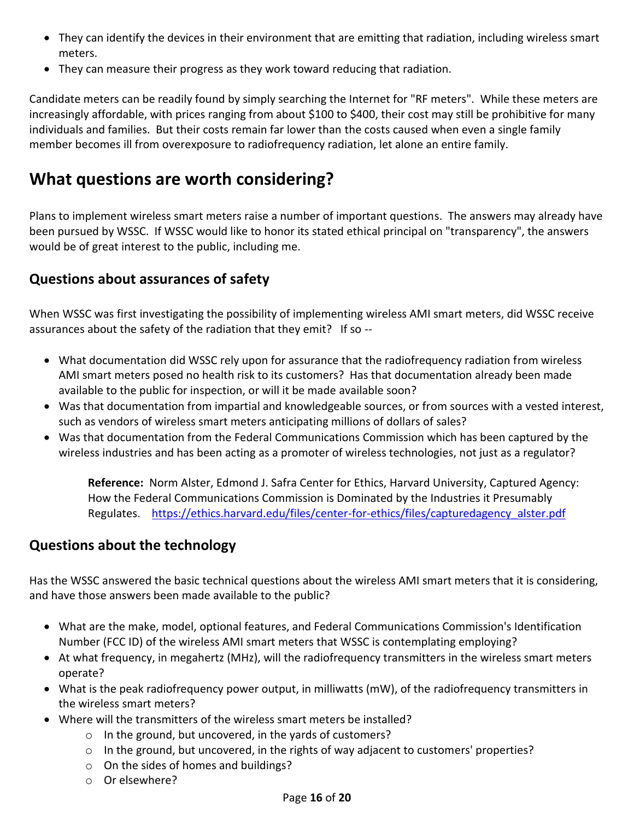- They can identify the devices in their environment that are emitting that radiation, including wireless smart meters.
- They can measure their progress as they work toward reducing that radiation.

Candidate meters can be readily found by simply searching the Internet for "RF meters". While these meters are increasingly affordable, with prices ranging from about \$100 to \$400, their cost may still be prohibitive for many individuals and families. But their costs remain far lower than the costs caused when even a single family member becomes ill from overexposure to radiofrequency radiation, let alone an entire family.

# **What questions are worth considering?**

Plans to implement wireless smart meters raise a number of important questions. The answers may already have been pursued by WSSC. If WSSC would like to honor its stated ethical principal on "transparency", the answers would be of great interest to the public, including me.

### **Questions about assurances of safety**

When WSSC was first investigating the possibility of implementing wireless AMI smart meters, did WSSC receive assurances about the safety of the radiation that they emit? If so --

- What documentation did WSSC rely upon for assurance that the radiofrequency radiation from wireless AMI smart meters posed no health risk to its customers? Has that documentation already been made available to the public for inspection, or will it be made available soon?
- Was that documentation from impartial and knowledgeable sources, or from sources with a vested interest, such as vendors of wireless smart meters anticipating millions of dollars of sales?
- Was that documentation from the Federal Communications Commission which has been captured by the wireless industries and has been acting as a promoter of wireless technologies, not just as a regulator?

**Reference:** Norm Alster, Edmond J. Safra Center for Ethics, Harvard University, Captured Agency: How the Federal Communications Commission is Dominated by the Industries it Presumably Regulates. [https://ethics.harvard.edu/files/center-for-ethics/files/capturedagency\\_alster.pdf](https://ethics.harvard.edu/files/center-for-ethics/files/capturedagency_alster.pdf)

### **Questions about the technology**

Has the WSSC answered the basic technical questions about the wireless AMI smart meters that it is considering, and have those answers been made available to the public?

- What are the make, model, optional features, and Federal Communications Commission's Identification Number (FCC ID) of the wireless AMI smart meters that WSSC is contemplating employing?
- At what frequency, in megahertz (MHz), will the radiofrequency transmitters in the wireless smart meters operate?
- What is the peak radiofrequency power output, in milliwatts (mW), of the radiofrequency transmitters in the wireless smart meters?
- Where will the transmitters of the wireless smart meters be installed?
	- o In the ground, but uncovered, in the yards of customers?
	- o In the ground, but uncovered, in the rights of way adjacent to customers' properties?
	- o On the sides of homes and buildings?
	- o Or elsewhere?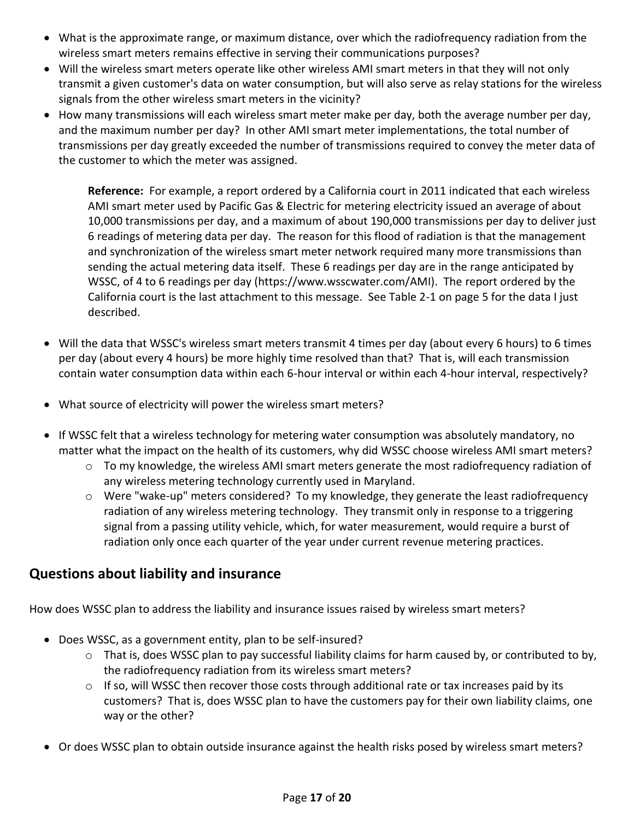- What is the approximate range, or maximum distance, over which the radiofrequency radiation from the wireless smart meters remains effective in serving their communications purposes?
- Will the wireless smart meters operate like other wireless AMI smart meters in that they will not only transmit a given customer's data on water consumption, but will also serve as relay stations for the wireless signals from the other wireless smart meters in the vicinity?
- How many transmissions will each wireless smart meter make per day, both the average number per day, and the maximum number per day? In other AMI smart meter implementations, the total number of transmissions per day greatly exceeded the number of transmissions required to convey the meter data of the customer to which the meter was assigned.

**Reference:** For example, a report ordered by a California court in 2011 indicated that each wireless AMI smart meter used by Pacific Gas & Electric for metering electricity issued an average of about 10,000 transmissions per day, and a maximum of about 190,000 transmissions per day to deliver just 6 readings of metering data per day. The reason for this flood of radiation is that the management and synchronization of the wireless smart meter network required many more transmissions than sending the actual metering data itself. These 6 readings per day are in the range anticipated by WSSC, of 4 to 6 readings per day (https://www.wsscwater.com/AMI). The report ordered by the California court is the last attachment to this message. See Table 2-1 on page 5 for the data I just described.

- Will the data that WSSC's wireless smart meters transmit 4 times per day (about every 6 hours) to 6 times per day (about every 4 hours) be more highly time resolved than that? That is, will each transmission contain water consumption data within each 6-hour interval or within each 4-hour interval, respectively?
- What source of electricity will power the wireless smart meters?
- If WSSC felt that a wireless technology for metering water consumption was absolutely mandatory, no matter what the impact on the health of its customers, why did WSSC choose wireless AMI smart meters?
	- o To my knowledge, the wireless AMI smart meters generate the most radiofrequency radiation of any wireless metering technology currently used in Maryland.
	- o Were "wake-up" meters considered? To my knowledge, they generate the least radiofrequency radiation of any wireless metering technology. They transmit only in response to a triggering signal from a passing utility vehicle, which, for water measurement, would require a burst of radiation only once each quarter of the year under current revenue metering practices.

### **Questions about liability and insurance**

How does WSSC plan to address the liability and insurance issues raised by wireless smart meters?

- Does WSSC, as a government entity, plan to be self-insured?
	- $\circ$  That is, does WSSC plan to pay successful liability claims for harm caused by, or contributed to by, the radiofrequency radiation from its wireless smart meters?
	- $\circ$  If so, will WSSC then recover those costs through additional rate or tax increases paid by its customers? That is, does WSSC plan to have the customers pay for their own liability claims, one way or the other?
- Or does WSSC plan to obtain outside insurance against the health risks posed by wireless smart meters?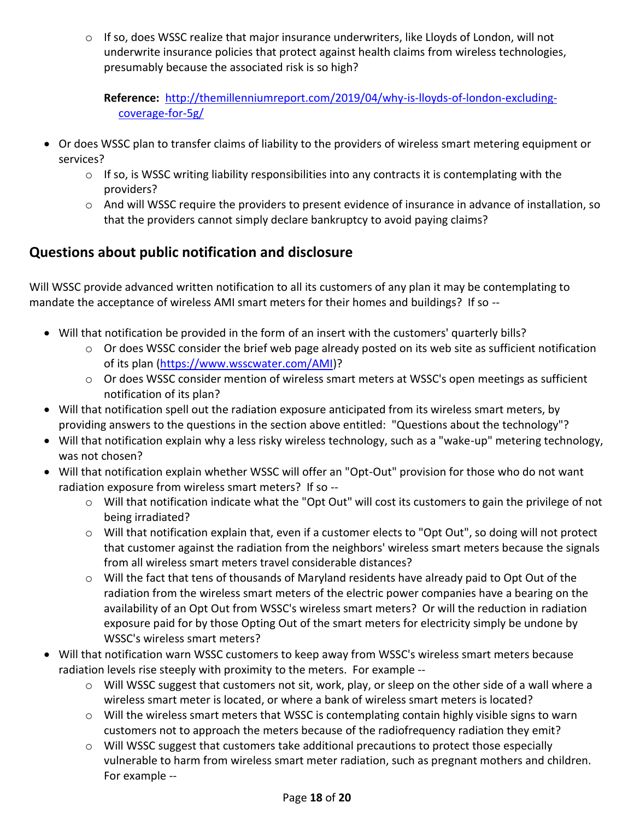$\circ$  If so, does WSSC realize that major insurance underwriters, like Lloyds of London, will not underwrite insurance policies that protect against health claims from wireless technologies, presumably because the associated risk is so high?

**Reference:** [http://themillenniumreport.com/2019/04/why-is-lloyds-of-london-excluding](http://themillenniumreport.com/2019/04/why-is-lloyds-of-london-excluding-coverage-for-5g/)[coverage-for-5g/](http://themillenniumreport.com/2019/04/why-is-lloyds-of-london-excluding-coverage-for-5g/)

- Or does WSSC plan to transfer claims of liability to the providers of wireless smart metering equipment or services?
	- $\circ$  If so, is WSSC writing liability responsibilities into any contracts it is contemplating with the providers?
	- o And will WSSC require the providers to present evidence of insurance in advance of installation, so that the providers cannot simply declare bankruptcy to avoid paying claims?

### **Questions about public notification and disclosure**

Will WSSC provide advanced written notification to all its customers of any plan it may be contemplating to mandate the acceptance of wireless AMI smart meters for their homes and buildings? If so --

- Will that notification be provided in the form of an insert with the customers' quarterly bills?
	- $\circ$  Or does WSSC consider the brief web page already posted on its web site as sufficient notification of its plan [\(https://www.wsscwater.com/AMI\)](https://www.wsscwater.com/AMI)?
	- o Or does WSSC consider mention of wireless smart meters at WSSC's open meetings as sufficient notification of its plan?
- Will that notification spell out the radiation exposure anticipated from its wireless smart meters, by providing answers to the questions in the section above entitled: "Questions about the technology"?
- Will that notification explain why a less risky wireless technology, such as a "wake-up" metering technology, was not chosen?
- Will that notification explain whether WSSC will offer an "Opt-Out" provision for those who do not want radiation exposure from wireless smart meters? If so -
	- o Will that notification indicate what the "Opt Out" will cost its customers to gain the privilege of not being irradiated?
	- o Will that notification explain that, even if a customer elects to "Opt Out", so doing will not protect that customer against the radiation from the neighbors' wireless smart meters because the signals from all wireless smart meters travel considerable distances?
	- o Will the fact that tens of thousands of Maryland residents have already paid to Opt Out of the radiation from the wireless smart meters of the electric power companies have a bearing on the availability of an Opt Out from WSSC's wireless smart meters? Or will the reduction in radiation exposure paid for by those Opting Out of the smart meters for electricity simply be undone by WSSC's wireless smart meters?
- Will that notification warn WSSC customers to keep away from WSSC's wireless smart meters because radiation levels rise steeply with proximity to the meters. For example --
	- $\circ$  Will WSSC suggest that customers not sit, work, play, or sleep on the other side of a wall where a wireless smart meter is located, or where a bank of wireless smart meters is located?
	- $\circ$  Will the wireless smart meters that WSSC is contemplating contain highly visible signs to warn customers not to approach the meters because of the radiofrequency radiation they emit?
	- $\circ$  Will WSSC suggest that customers take additional precautions to protect those especially vulnerable to harm from wireless smart meter radiation, such as pregnant mothers and children. For example --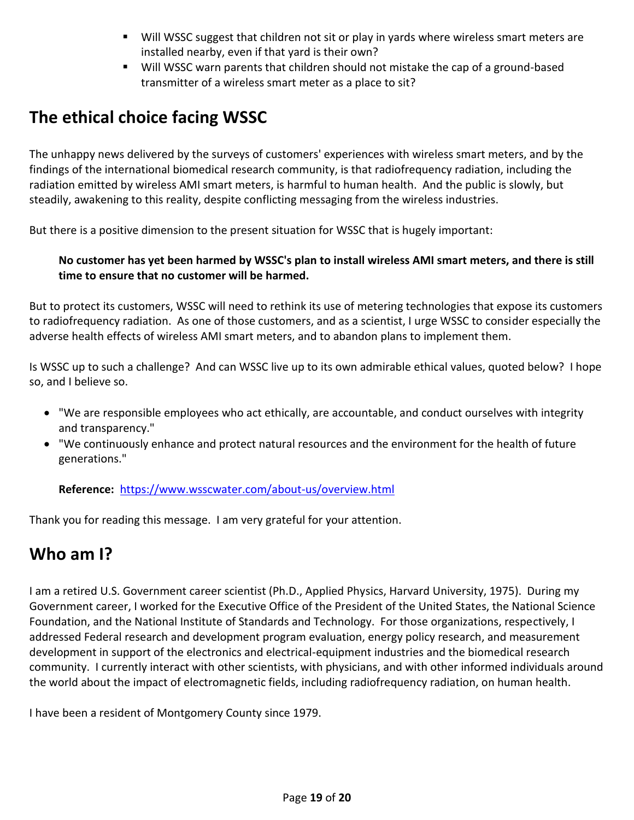- Will WSSC suggest that children not sit or play in yards where wireless smart meters are installed nearby, even if that yard is their own?
- **Will WSSC warn parents that children should not mistake the cap of a ground-based** transmitter of a wireless smart meter as a place to sit?

# **The ethical choice facing WSSC**

The unhappy news delivered by the surveys of customers' experiences with wireless smart meters, and by the findings of the international biomedical research community, is that radiofrequency radiation, including the radiation emitted by wireless AMI smart meters, is harmful to human health. And the public is slowly, but steadily, awakening to this reality, despite conflicting messaging from the wireless industries.

But there is a positive dimension to the present situation for WSSC that is hugely important:

#### **No customer has yet been harmed by WSSC's plan to install wireless AMI smart meters, and there is still time to ensure that no customer will be harmed.**

But to protect its customers, WSSC will need to rethink its use of metering technologies that expose its customers to radiofrequency radiation. As one of those customers, and as a scientist, I urge WSSC to consider especially the adverse health effects of wireless AMI smart meters, and to abandon plans to implement them.

Is WSSC up to such a challenge? And can WSSC live up to its own admirable ethical values, quoted below? I hope so, and I believe so.

- "We are responsible employees who act ethically, are accountable, and conduct ourselves with integrity and transparency."
- "We continuously enhance and protect natural resources and the environment for the health of future generations."

**Reference:** <https://www.wsscwater.com/about-us/overview.html>

Thank you for reading this message. I am very grateful for your attention.

# **Who am I?**

I am a retired U.S. Government career scientist (Ph.D., Applied Physics, Harvard University, 1975). During my Government career, I worked for the Executive Office of the President of the United States, the National Science Foundation, and the National Institute of Standards and Technology. For those organizations, respectively, I addressed Federal research and development program evaluation, energy policy research, and measurement development in support of the electronics and electrical-equipment industries and the biomedical research community. I currently interact with other scientists, with physicians, and with other informed individuals around the world about the impact of electromagnetic fields, including radiofrequency radiation, on human health.

I have been a resident of Montgomery County since 1979.